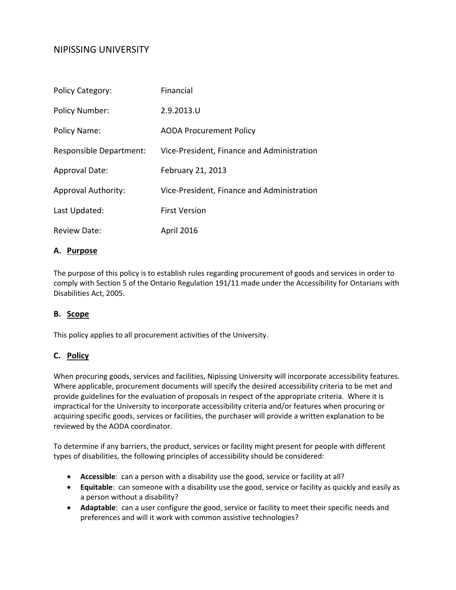# NIPISSING UNIVERSITY

| <b>Policy Category:</b>    | Financial                                  |
|----------------------------|--------------------------------------------|
| <b>Policy Number:</b>      | 2.9.2013.U                                 |
| Policy Name:               | <b>AODA Procurement Policy</b>             |
| Responsible Department:    | Vice-President, Finance and Administration |
| <b>Approval Date:</b>      | February 21, 2013                          |
| <b>Approval Authority:</b> | Vice-President, Finance and Administration |
| Last Updated:              | <b>First Version</b>                       |
| Review Date:               | <b>April 2016</b>                          |

#### **A. Purpose**

The purpose of this policy is to establish rules regarding procurement of goods and services in order to comply with Section 5 of the Ontario Regulation 191/11 made under the Accessibility for Ontarians with Disabilities Act, 2005.

### **B. Scope**

This policy applies to all procurement activities of the University.

### **C. Policy**

When procuring goods, services and facilities, Nipissing University will incorporate accessibility features. Where applicable, procurement documents will specify the desired accessibility criteria to be met and provide guidelines for the evaluation of proposals in respect of the appropriate criteria. Where it is impractical for the University to incorporate accessibility criteria and/or features when procuring or acquiring specific goods, services or facilities, the purchaser will provide a written explanation to be reviewed by the AODA coordinator.

To determine if any barriers, the product, services or facility might present for people with different types of disabilities, the following principles of accessibility should be considered:

- **Accessible**: can a person with a disability use the good, service or facility at all?
- **Equitable**: can someone with a disability use the good, service or facility as quickly and easily as a person without a disability?
- **Adaptable**: can a user configure the good, service or facility to meet their specific needs and preferences and will it work with common assistive technologies?